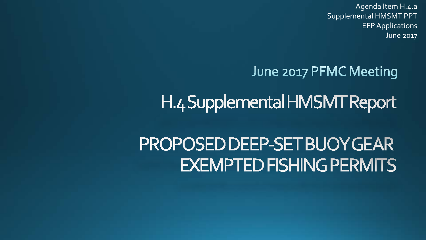Agenda Item H.4.a Supplemental HMSMT PPT EFP Applications June 2017

## June 2017 PFMC Meeting

## H.4 Supplemental HMSMT Report

## PROPOSED DEEP-SET BUOY GEAR **EXEMPTED FISHING PERMITS**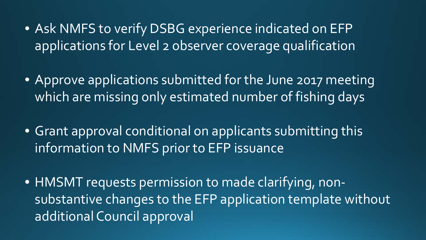- Ask NMFS to verify DSBG experience indicated on EFP applications for Level 2 observer coverage qualification
- Approve applications submitted for the June 2017 meeting which are missing only estimated number of fishing days
- Grant approval conditional on applicants submitting this information to NMFS prior to EFP issuance
- HMSMT requests permission to made clarifying, nonsubstantive changes to the EFP application template without additional Council approval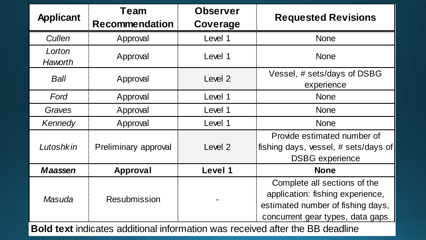| <b>Applicant</b>  | Team                  | <b>Observer</b> | <b>Requested Revisions</b>                                                                                                                |
|-------------------|-----------------------|-----------------|-------------------------------------------------------------------------------------------------------------------------------------------|
|                   | <b>Recommendation</b> | Coverage        |                                                                                                                                           |
| Cullen            | Approval              | Level 1         | <b>None</b>                                                                                                                               |
| Lorton<br>Haworth | Approval              | Level 1         | <b>None</b>                                                                                                                               |
| Ball              | Approval              | Level 2         | Vessel, # sets/days of DSBG<br>experience                                                                                                 |
| Ford              | Approval              | Level 1         | <b>None</b>                                                                                                                               |
| Graves            | Approval              | Level 1         | <b>None</b>                                                                                                                               |
| Kennedy           | Approval              | Level 1         | <b>None</b>                                                                                                                               |
| Lutoshkin         | Preliminary approval  | Level 2         | Provide estimated number of<br>fishing days, vessel, # sets/days of<br><b>DSBG</b> experience                                             |
| <b>Maassen</b>    | <b>Approval</b>       | Level 1         | <b>None</b>                                                                                                                               |
| Masuda            | <b>Resubmission</b>   |                 | Complete all sections of the<br>application: fishing experience,<br>estimated number of fishing days,<br>concurrent gear types, data gaps |

**Bold text** indicates additional information was received after the BB deadline